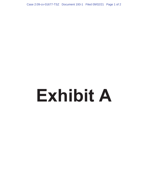Case 2:09-cv-01677-TSZ Document 193-1 Filed 09/02/21 Page 1 of 2

## **Exhibit A**